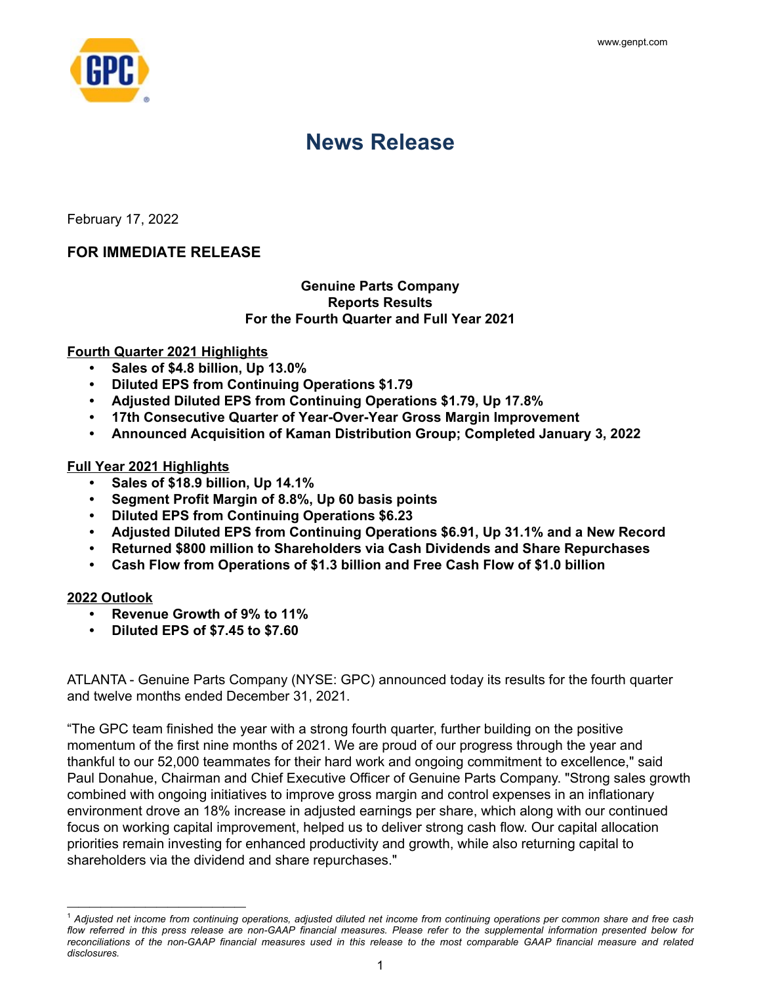

# **News Release**

February 17, 2022

# **FOR IMMEDIATE RELEASE**

## **Genuine Parts Company Reports Results For the Fourth Quarter and Full Year 2021**

#### **Fourth Quarter 2021 Highlights**

- **• Sales of \$4.8 billion, Up 13.0%**
- **• Diluted EPS from Continuing Operations \$1.79**
- **• Adjusted Diluted EPS from Continuing Operations \$1.79, Up 17.8%**
- **• 17th Consecutive Quarter of Year-Over-Year Gross Margin Improvement**
- **• Announced Acquisition of Kaman Distribution Group; Completed January 3, 2022**

#### **Full Year 2021 Highlights**

*————————————————*

- **• Sales of \$18.9 billion, Up 14.1%**
- **• Segment Profit Margin of 8.8%, Up 60 basis points**
- **• Diluted EPS from Continuing Operations \$6.23**
- **• Adjusted Diluted EPS from Continuing Operations \$6.91, Up 31.1% and a New Record**
- **• Returned \$800 million to Shareholders via Cash Dividends and Share Repurchases**
- **• Cash Flow from Operations of \$1.3 billion and Free Cash Flow of \$1.0 billion**

## **2022 Outlook**

- **• Revenue Growth of 9% to 11%**
- **• Diluted EPS of \$7.45 to \$7.60**

ATLANTA - Genuine Parts Company (NYSE: GPC) announced today its results for the fourth quarter and twelve months ended December 31, 2021.

"The GPC team finished the year with a strong fourth quarter, further building on the positive momentum of the first nine months of 2021. We are proud of our progress through the year and thankful to our 52,000 teammates for their hard work and ongoing commitment to excellence," said Paul Donahue, Chairman and Chief Executive Officer of Genuine Parts Company. "Strong sales growth combined with ongoing initiatives to improve gross margin and control expenses in an inflationary environment drove an 18% increase in adjusted earnings per share, which along with our continued focus on working capital improvement, helped us to deliver strong cash flow. Our capital allocation priorities remain investing for enhanced productivity and growth, while also returning capital to shareholders via the dividend and share repurchases."

<sup>1</sup>  *Adjusted net income from continuing operations, adjusted diluted net income from continuing operations per common share and free cash*  flow referred in this press release are non-GAAP financial measures. Please refer to the supplemental information presented below for *reconciliations of the non-GAAP financial measures used in this release to the most comparable GAAP financial measure and related disclosures.*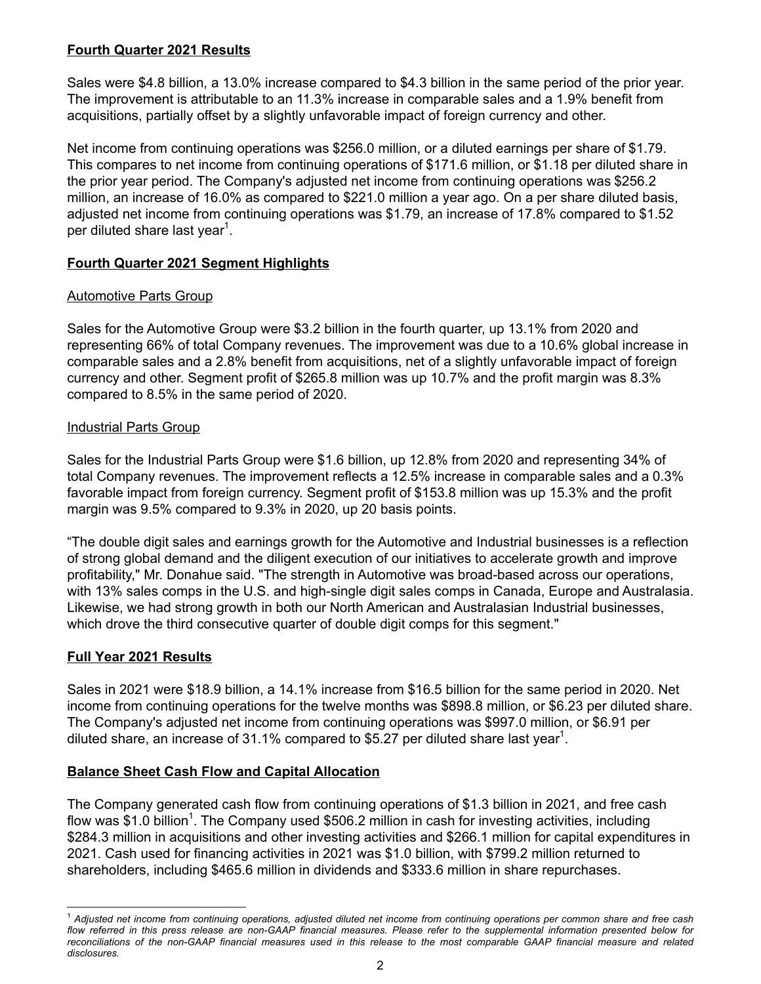# **Fourth Quarter 2021 Results**

Sales were \$4.8 billion, a 13.0% increase compared to \$4.3 billion in the same period of the prior year. The improvement is attributable to an 11.3% increase in comparable sales and a 1.9% benefit from acquisitions, partially offset by a slightly unfavorable impact of foreign currency and other.

Net income from continuing operations was \$256.0 million, or a diluted earnings per share of \$1.79. This compares to net income from continuing operations of \$171.6 million, or \$1.18 per diluted share in the prior year period. The Company's adjusted net income from continuing operations was \$256.2 million, an increase of 16.0% as compared to \$221.0 million a year ago. On a per share diluted basis, adjusted net income from continuing operations was \$1.79, an increase of 17.8% compared to \$1.52 per diluted share last year<sup>1</sup>.

# **Fourth Quarter 2021 Segment Highlights**

# Automotive Parts Group

Sales for the Automotive Group were \$3.2 billion in the fourth quarter, up 13.1% from 2020 and representing 66% of total Company revenues. The improvement was due to a 10.6% global increase in comparable sales and a 2.8% benefit from acquisitions, net of a slightly unfavorable impact of foreign currency and other. Segment profit of \$265.8 million was up 10.7% and the profit margin was 8.3% compared to 8.5% in the same period of 2020.

# Industrial Parts Group

Sales for the Industrial Parts Group were \$1.6 billion, up 12.8% from 2020 and representing 34% of total Company revenues. The improvement reflects a 12.5% increase in comparable sales and a 0.3% favorable impact from foreign currency. Segment profit of \$153.8 million was up 15.3% and the profit margin was 9.5% compared to 9.3% in 2020, up 20 basis points.

"The double digit sales and earnings growth for the Automotive and Industrial businesses is a reflection of strong global demand and the diligent execution of our initiatives to accelerate growth and improve profitability," Mr. Donahue said. "The strength in Automotive was broad-based across our operations, with 13% sales comps in the U.S. and high-single digit sales comps in Canada, Europe and Australasia. Likewise, we had strong growth in both our North American and Australasian Industrial businesses, which drove the third consecutive quarter of double digit comps for this segment."

# **Full Year 2021 Results**

*————————————————*

Sales in 2021 were \$18.9 billion, a 14.1% increase from \$16.5 billion for the same period in 2020. Net income from continuing operations for the twelve months was \$898.8 million, or \$6.23 per diluted share. The Company's adjusted net income from continuing operations was \$997.0 million, or \$6.91 per diluted share, an increase of 31.1% compared to \$5.27 per diluted share last year<sup>1</sup>.

# **Balance Sheet Cash Flow and Capital Allocation**

The Company generated cash flow from continuing operations of \$1.3 billion in 2021, and free cash flow was \$1.0 billion<sup>1</sup>. The Company used \$506.2 million in cash for investing activities, including \$284.3 million in acquisitions and other investing activities and \$266.1 million for capital expenditures in 2021. Cash used for financing activities in 2021 was \$1.0 billion, with \$799.2 million returned to shareholders, including \$465.6 million in dividends and \$333.6 million in share repurchases.

<sup>1</sup>  *Adjusted net income from continuing operations, adjusted diluted net income from continuing operations per common share and free cash flow referred in this press release are non-GAAP financial measures. Please refer to the supplemental information presented below for reconciliations of the non-GAAP financial measures used in this release to the most comparable GAAP financial measure and related disclosures.*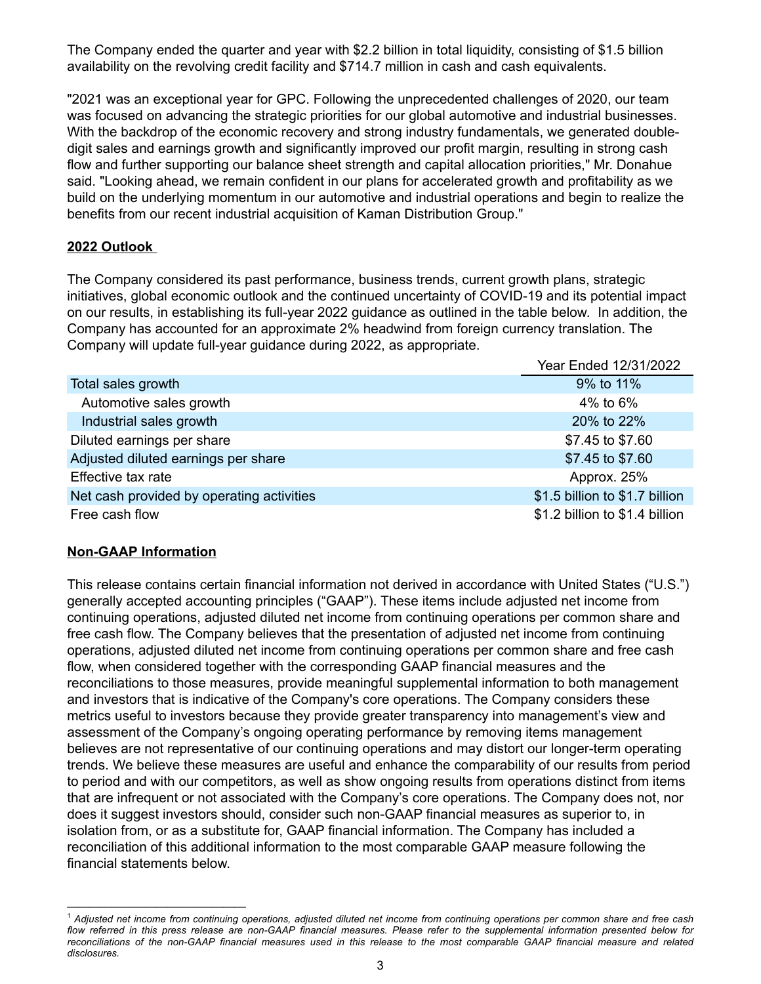The Company ended the quarter and year with \$2.2 billion in total liquidity, consisting of \$1.5 billion availability on the revolving credit facility and \$714.7 million in cash and cash equivalents.

"2021 was an exceptional year for GPC. Following the unprecedented challenges of 2020, our team was focused on advancing the strategic priorities for our global automotive and industrial businesses. With the backdrop of the economic recovery and strong industry fundamentals, we generated doubledigit sales and earnings growth and significantly improved our profit margin, resulting in strong cash flow and further supporting our balance sheet strength and capital allocation priorities," Mr. Donahue said. "Looking ahead, we remain confident in our plans for accelerated growth and profitability as we build on the underlying momentum in our automotive and industrial operations and begin to realize the benefits from our recent industrial acquisition of Kaman Distribution Group."

## **2022 Outlook**

The Company considered its past performance, business trends, current growth plans, strategic initiatives, global economic outlook and the continued uncertainty of COVID-19 and its potential impact on our results, in establishing its full-year 2022 guidance as outlined in the table below. In addition, the Company has accounted for an approximate 2% headwind from foreign currency translation. The Company will update full-year guidance during 2022, as appropriate.

|                                           | Year Ended 12/31/2022          |
|-------------------------------------------|--------------------------------|
| Total sales growth                        | 9% to 11%                      |
| Automotive sales growth                   | 4% to $6\%$                    |
| Industrial sales growth                   | 20% to 22%                     |
| Diluted earnings per share                | \$7.45 to \$7.60               |
| Adjusted diluted earnings per share       | \$7.45 to \$7.60               |
| Effective tax rate                        | Approx. 25%                    |
| Net cash provided by operating activities | \$1.5 billion to \$1.7 billion |
| Free cash flow                            | \$1.2 billion to \$1.4 billion |

## **Non-GAAP Information**

*————————————————*

This release contains certain financial information not derived in accordance with United States ("U.S.") generally accepted accounting principles ("GAAP"). These items include adjusted net income from continuing operations, adjusted diluted net income from continuing operations per common share and free cash flow. The Company believes that the presentation of adjusted net income from continuing operations, adjusted diluted net income from continuing operations per common share and free cash flow, when considered together with the corresponding GAAP financial measures and the reconciliations to those measures, provide meaningful supplemental information to both management and investors that is indicative of the Company's core operations. The Company considers these metrics useful to investors because they provide greater transparency into management's view and assessment of the Company's ongoing operating performance by removing items management believes are not representative of our continuing operations and may distort our longer-term operating trends. We believe these measures are useful and enhance the comparability of our results from period to period and with our competitors, as well as show ongoing results from operations distinct from items that are infrequent or not associated with the Company's core operations. The Company does not, nor does it suggest investors should, consider such non-GAAP financial measures as superior to, in isolation from, or as a substitute for, GAAP financial information. The Company has included a reconciliation of this additional information to the most comparable GAAP measure following the financial statements below.

<sup>1</sup>  *Adjusted net income from continuing operations, adjusted diluted net income from continuing operations per common share and free cash flow referred in this press release are non-GAAP financial measures. Please refer to the supplemental information presented below for reconciliations of the non-GAAP financial measures used in this release to the most comparable GAAP financial measure and related disclosures.*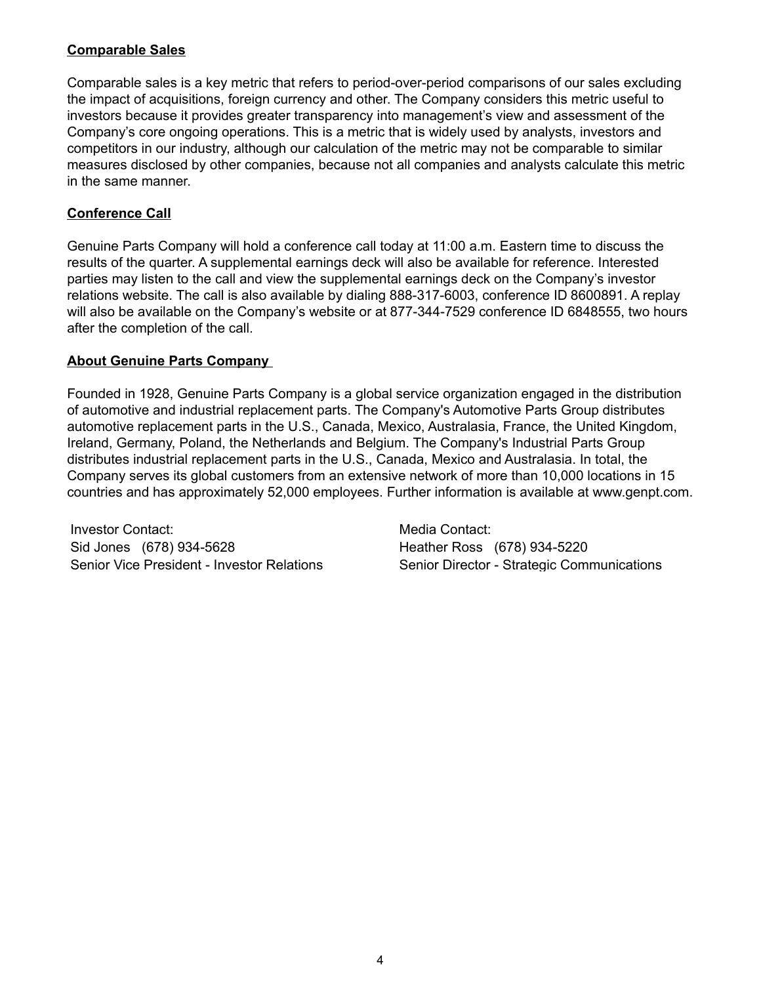# **Comparable Sales**

Comparable sales is a key metric that refers to period-over-period comparisons of our sales excluding the impact of acquisitions, foreign currency and other. The Company considers this metric useful to investors because it provides greater transparency into management's view and assessment of the Company's core ongoing operations. This is a metric that is widely used by analysts, investors and competitors in our industry, although our calculation of the metric may not be comparable to similar measures disclosed by other companies, because not all companies and analysts calculate this metric in the same manner.

# **Conference Call**

Genuine Parts Company will hold a conference call today at 11:00 a.m. Eastern time to discuss the results of the quarter. A supplemental earnings deck will also be available for reference. Interested parties may listen to the call and view the supplemental earnings deck on the Company's investor relations website. The call is also available by dialing 888-317-6003, conference ID 8600891. A replay will also be available on the Company's website or at 877-344-7529 conference ID 6848555, two hours after the completion of the call.

# **About Genuine Parts Company**

Founded in 1928, Genuine Parts Company is a global service organization engaged in the distribution of automotive and industrial replacement parts. The Company's Automotive Parts Group distributes automotive replacement parts in the U.S., Canada, Mexico, Australasia, France, the United Kingdom, Ireland, Germany, Poland, the Netherlands and Belgium. The Company's Industrial Parts Group distributes industrial replacement parts in the U.S., Canada, Mexico and Australasia. In total, the Company serves its global customers from an extensive network of more than 10,000 locations in 15 countries and has approximately 52,000 employees. Further information is available at www.genpt.com.

Investor Contact: Media Contact: Media Contact: Sid Jones (678) 934-5628 Heather Ross (678) 934-5220

Senior Vice President - Investor Relations Senior Director - Strategic Communications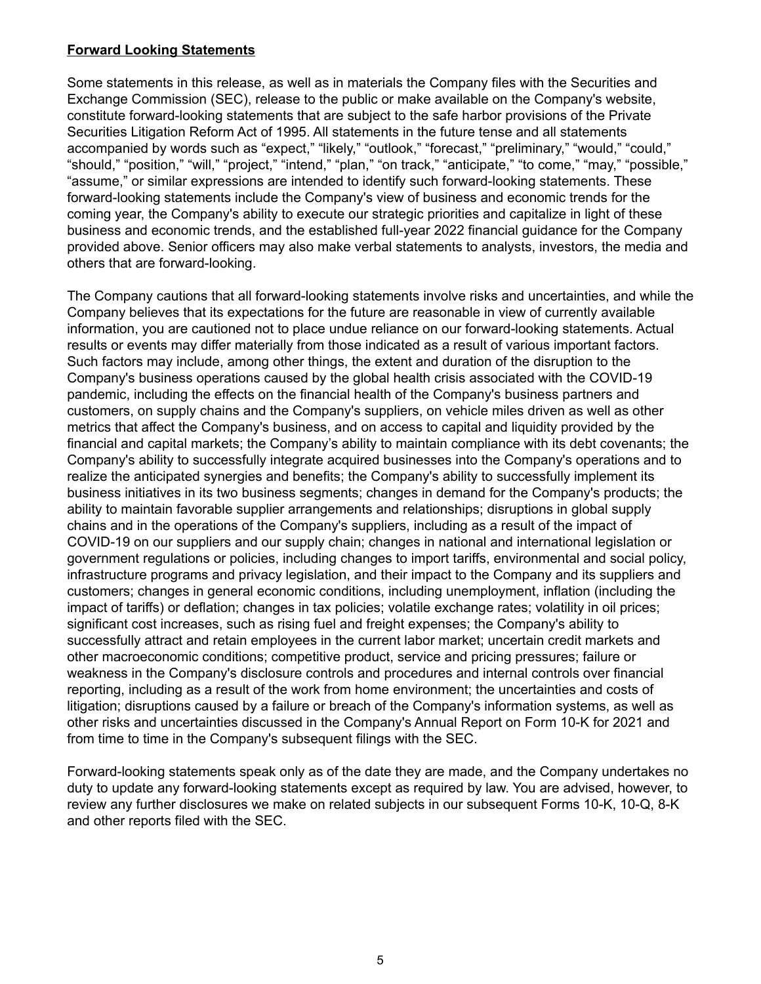## **Forward Looking Statements**

Some statements in this release, as well as in materials the Company files with the Securities and Exchange Commission (SEC), release to the public or make available on the Company's website, constitute forward-looking statements that are subject to the safe harbor provisions of the Private Securities Litigation Reform Act of 1995. All statements in the future tense and all statements accompanied by words such as "expect," "likely," "outlook," "forecast," "preliminary," "would," "could," "should," "position," "will," "project," "intend," "plan," "on track," "anticipate," "to come," "may," "possible," "assume," or similar expressions are intended to identify such forward-looking statements. These forward-looking statements include the Company's view of business and economic trends for the coming year, the Company's ability to execute our strategic priorities and capitalize in light of these business and economic trends, and the established full-year 2022 financial guidance for the Company provided above. Senior officers may also make verbal statements to analysts, investors, the media and others that are forward-looking.

The Company cautions that all forward-looking statements involve risks and uncertainties, and while the Company believes that its expectations for the future are reasonable in view of currently available information, you are cautioned not to place undue reliance on our forward-looking statements. Actual results or events may differ materially from those indicated as a result of various important factors. Such factors may include, among other things, the extent and duration of the disruption to the Company's business operations caused by the global health crisis associated with the COVID-19 pandemic, including the effects on the financial health of the Company's business partners and customers, on supply chains and the Company's suppliers, on vehicle miles driven as well as other metrics that affect the Company's business, and on access to capital and liquidity provided by the financial and capital markets; the Company's ability to maintain compliance with its debt covenants; the Company's ability to successfully integrate acquired businesses into the Company's operations and to realize the anticipated synergies and benefits; the Company's ability to successfully implement its business initiatives in its two business segments; changes in demand for the Company's products; the ability to maintain favorable supplier arrangements and relationships; disruptions in global supply chains and in the operations of the Company's suppliers, including as a result of the impact of COVID-19 on our suppliers and our supply chain; changes in national and international legislation or government regulations or policies, including changes to import tariffs, environmental and social policy, infrastructure programs and privacy legislation, and their impact to the Company and its suppliers and customers; changes in general economic conditions, including unemployment, inflation (including the impact of tariffs) or deflation; changes in tax policies; volatile exchange rates; volatility in oil prices; significant cost increases, such as rising fuel and freight expenses; the Company's ability to successfully attract and retain employees in the current labor market; uncertain credit markets and other macroeconomic conditions; competitive product, service and pricing pressures; failure or weakness in the Company's disclosure controls and procedures and internal controls over financial reporting, including as a result of the work from home environment; the uncertainties and costs of litigation; disruptions caused by a failure or breach of the Company's information systems, as well as other risks and uncertainties discussed in the Company's Annual Report on Form 10-K for 2021 and from time to time in the Company's subsequent filings with the SEC.

Forward-looking statements speak only as of the date they are made, and the Company undertakes no duty to update any forward-looking statements except as required by law. You are advised, however, to review any further disclosures we make on related subjects in our subsequent Forms 10-K, 10-Q, 8-K and other reports filed with the SEC.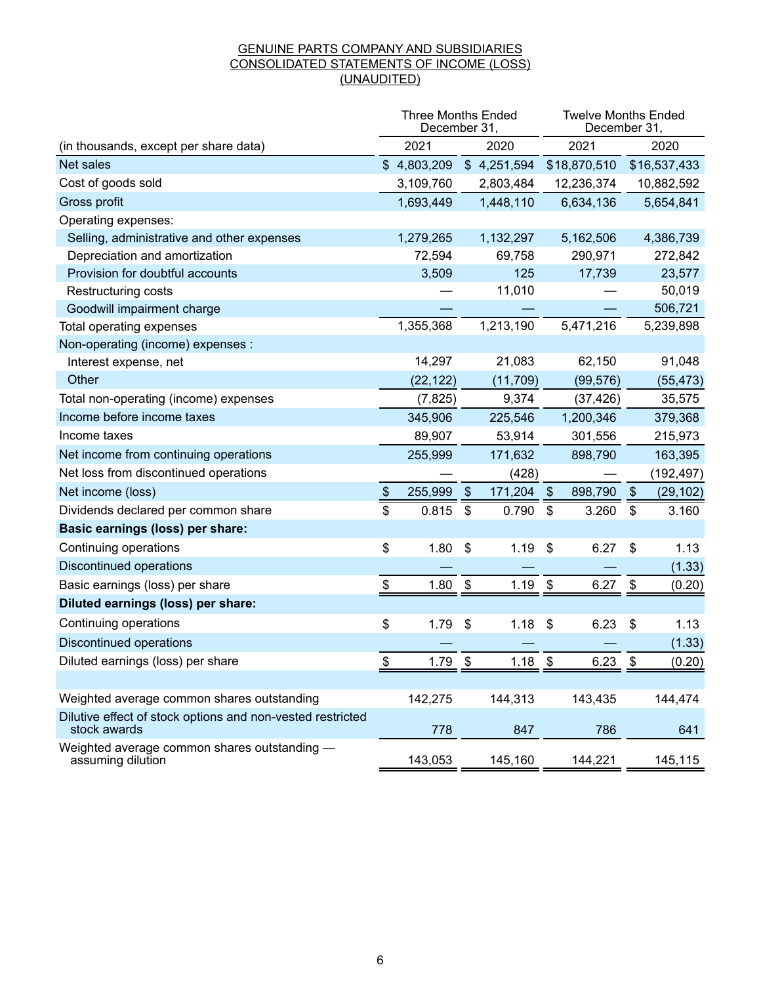#### GENUINE PARTS COMPANY AND SUBSIDIARIES CONSOLIDATED STATEMENTS OF INCOME (LOSS) (UNAUDITED)

|                                                                            |                | <b>Three Months Ended</b><br>December 31, |                           |             |               | <b>Twelve Months Ended</b><br>December 31, |               |              |
|----------------------------------------------------------------------------|----------------|-------------------------------------------|---------------------------|-------------|---------------|--------------------------------------------|---------------|--------------|
| (in thousands, except per share data)                                      |                | 2021                                      |                           | 2020        |               | 2021                                       |               | 2020         |
| Net sales                                                                  |                | \$4,803,209                               |                           | \$4,251,594 |               | \$18,870,510                               |               | \$16,537,433 |
| Cost of goods sold                                                         |                | 3,109,760                                 |                           | 2,803,484   |               | 12,236,374                                 |               | 10,882,592   |
| Gross profit                                                               |                | 1,693,449                                 |                           | 1,448,110   |               | 6,634,136                                  |               | 5,654,841    |
| Operating expenses:                                                        |                |                                           |                           |             |               |                                            |               |              |
| Selling, administrative and other expenses                                 |                | 1,279,265                                 |                           | 1,132,297   |               | 5,162,506                                  |               | 4,386,739    |
| Depreciation and amortization                                              |                | 72,594                                    |                           | 69,758      |               | 290,971                                    |               | 272,842      |
| Provision for doubtful accounts                                            |                | 3,509                                     |                           | 125         |               | 17,739                                     |               | 23,577       |
| Restructuring costs                                                        |                |                                           |                           | 11,010      |               |                                            |               | 50,019       |
| Goodwill impairment charge                                                 |                |                                           |                           |             |               |                                            |               | 506,721      |
| Total operating expenses                                                   |                | 1,355,368                                 |                           | 1,213,190   |               | 5,471,216                                  |               | 5,239,898    |
| Non-operating (income) expenses :                                          |                |                                           |                           |             |               |                                            |               |              |
| Interest expense, net                                                      |                | 14,297                                    |                           | 21,083      |               | 62,150                                     |               | 91,048       |
| Other                                                                      |                | (22, 122)                                 |                           | (11, 709)   |               | (99, 576)                                  |               | (55, 473)    |
| Total non-operating (income) expenses                                      |                | (7, 825)                                  |                           | 9,374       |               | (37, 426)                                  |               | 35,575       |
| Income before income taxes                                                 |                | 345,906                                   |                           | 225,546     |               | 1,200,346                                  |               | 379,368      |
| Income taxes                                                               |                | 89,907                                    |                           | 53,914      |               | 301,556                                    |               | 215,973      |
| Net income from continuing operations                                      |                | 255,999                                   |                           | 171,632     |               | 898,790                                    |               | 163,395      |
| Net loss from discontinued operations                                      |                |                                           |                           | (428)       |               |                                            |               | (192, 497)   |
| Net income (loss)                                                          | $\frac{1}{2}$  | 255,999                                   | $\boldsymbol{\mathsf{S}}$ | 171,204     | $\frac{1}{2}$ | 898,790                                    | $\frac{1}{2}$ | (29, 102)    |
| Dividends declared per common share                                        | \$             | 0.815                                     | \$                        | 0.790       | \$            | 3.260                                      | \$            | 3.160        |
| Basic earnings (loss) per share:                                           |                |                                           |                           |             |               |                                            |               |              |
| Continuing operations                                                      | \$             | 1.80                                      | \$                        | 1.19        | \$            | 6.27                                       | \$            | 1.13         |
| <b>Discontinued operations</b>                                             |                |                                           |                           |             |               |                                            |               | (1.33)       |
| Basic earnings (loss) per share                                            | \$             | 1.80                                      | \$                        | 1.19        | \$            | 6.27                                       | -\$           | (0.20)       |
| Diluted earnings (loss) per share:                                         |                |                                           |                           |             |               |                                            |               |              |
| Continuing operations                                                      | \$             | 1.79                                      | \$                        | 1.18        | \$            | 6.23                                       | \$            | 1.13         |
| <b>Discontinued operations</b>                                             |                |                                           |                           |             |               |                                            |               | (1.33)       |
| Diluted earnings (loss) per share                                          | $\mathfrak{L}$ | 1.79                                      | \$                        | 1.18        | \$            | 6.23                                       | \$            | (0.20)       |
|                                                                            |                |                                           |                           |             |               |                                            |               |              |
| Weighted average common shares outstanding                                 |                | 142,275                                   |                           | 144,313     |               | 143,435                                    |               | 144,474      |
| Dilutive effect of stock options and non-vested restricted<br>stock awards |                | 778                                       |                           | 847         |               | 786                                        |               | 641          |
| Weighted average common shares outstanding -<br>assuming dilution          |                | 143,053                                   |                           | 145,160     |               | 144,221                                    |               | 145,115      |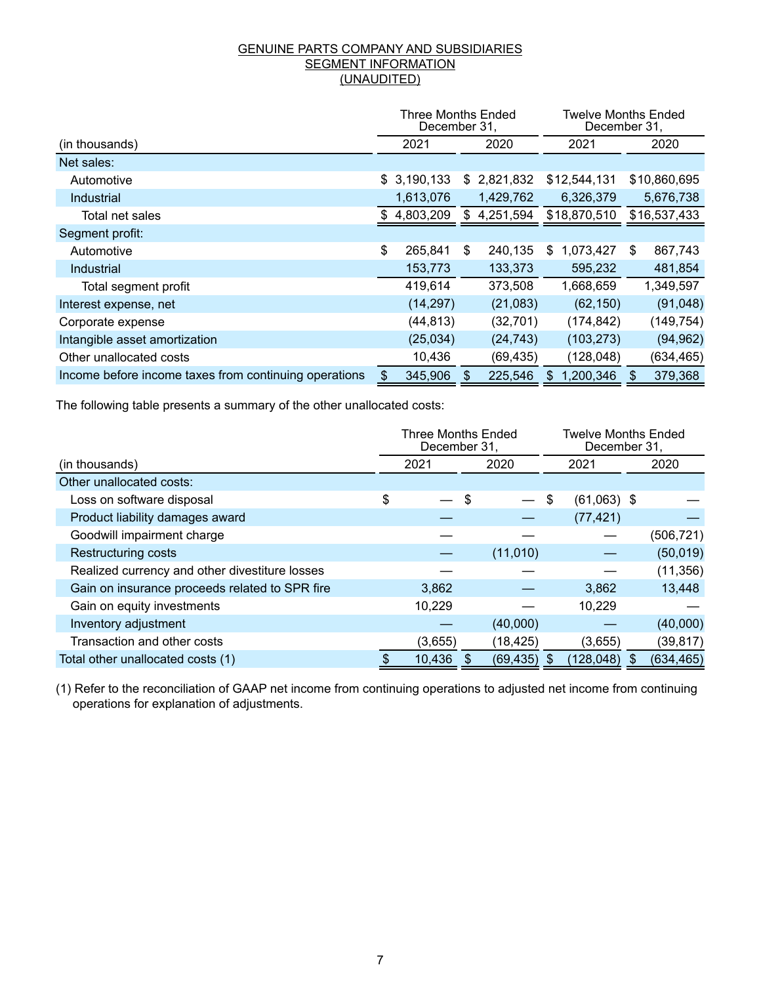#### GENUINE PARTS COMPANY AND SUBSIDIARIES **SEGMENT INFORMATION** (UNAUDITED)

|                                                       | Three Months Ended<br>December 31, |             |     |           |     |              | Twelve Months Ended<br>December 31, |              |  |  |
|-------------------------------------------------------|------------------------------------|-------------|-----|-----------|-----|--------------|-------------------------------------|--------------|--|--|
| (in thousands)                                        |                                    | 2021        |     | 2020      |     | 2021         |                                     | 2020         |  |  |
| Net sales:                                            |                                    |             |     |           |     |              |                                     |              |  |  |
| Automotive                                            |                                    | \$3,190,133 | \$. | 2,821,832 |     | \$12,544,131 |                                     | \$10,860,695 |  |  |
| Industrial                                            |                                    | 1,613,076   |     | 1,429,762 |     | 6,326,379    |                                     | 5,676,738    |  |  |
| Total net sales                                       |                                    | 4,803,209   | \$  | 4,251,594 |     | \$18,870,510 |                                     | \$16,537,433 |  |  |
| Segment profit:                                       |                                    |             |     |           |     |              |                                     |              |  |  |
| Automotive                                            | \$                                 | 265,841     | \$  | 240,135   | \$. | 1,073,427    | \$                                  | 867,743      |  |  |
| Industrial                                            |                                    | 153,773     |     | 133,373   |     | 595,232      |                                     | 481,854      |  |  |
| Total segment profit                                  |                                    | 419,614     |     | 373,508   |     | 1,668,659    |                                     | 1,349,597    |  |  |
| Interest expense, net                                 |                                    | (14, 297)   |     | (21,083)  |     | (62, 150)    |                                     | (91,048)     |  |  |
| Corporate expense                                     |                                    | (44, 813)   |     | (32, 701) |     | (174, 842)   |                                     | (149, 754)   |  |  |
| Intangible asset amortization                         |                                    | (25,034)    |     | (24, 743) |     | (103, 273)   |                                     | (94, 962)    |  |  |
| Other unallocated costs                               |                                    | 10,436      |     | (69, 435) |     | (128, 048)   |                                     | (634, 465)   |  |  |
| Income before income taxes from continuing operations | $\mathbf{S}$                       | 345,906     |     | 225,546   |     | 1,200,346    |                                     | 379,368      |  |  |

The following table presents a summary of the other unallocated costs:

|                                                | <b>Three Months Ended</b><br>December 31. |           |    | December 31,  | <b>Twelve Months Ended</b> |            |  |
|------------------------------------------------|-------------------------------------------|-----------|----|---------------|----------------------------|------------|--|
| (in thousands)                                 | 2021                                      | 2020      |    | 2021          |                            | 2020       |  |
| Other unallocated costs:                       |                                           |           |    |               |                            |            |  |
| Loss on software disposal                      | \$                                        |           | \$ | $(61,063)$ \$ |                            |            |  |
| Product liability damages award                |                                           |           |    | (77, 421)     |                            |            |  |
| Goodwill impairment charge                     |                                           |           |    |               |                            | (506, 721) |  |
| <b>Restructuring costs</b>                     |                                           | (11,010)  |    |               |                            | (50,019)   |  |
| Realized currency and other divestiture losses |                                           |           |    |               |                            | (11, 356)  |  |
| Gain on insurance proceeds related to SPR fire | 3,862                                     |           |    | 3,862         |                            | 13,448     |  |
| Gain on equity investments                     | 10,229                                    |           |    | 10,229        |                            |            |  |
| Inventory adjustment                           |                                           | (40,000)  |    |               |                            | (40,000)   |  |
| Transaction and other costs                    | (3,655)                                   | (18, 425) |    | (3,655)       |                            | (39, 817)  |  |
| Total other unallocated costs (1)              | 10,436                                    | (69, 435) |    | (128, 048)    |                            | (634, 465) |  |

(1) Refer to the reconciliation of GAAP net income from continuing operations to adjusted net income from continuing operations for explanation of adjustments.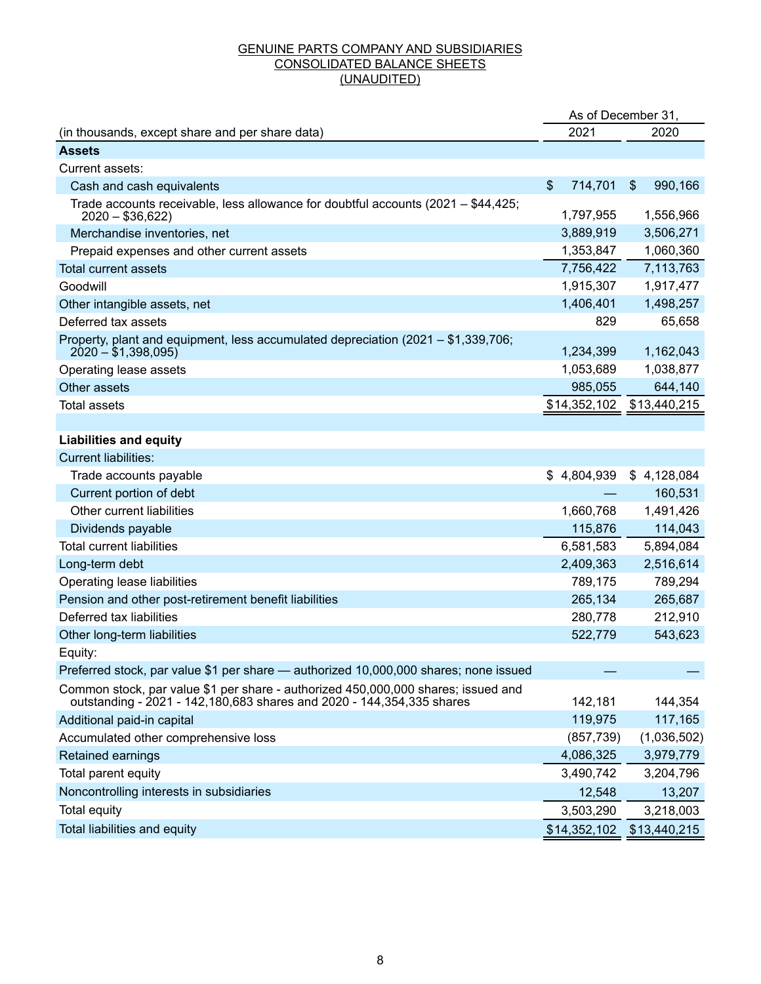#### GENUINE PARTS COMPANY AND SUBSIDIARIES CONSOLIDATED BALANCE SHEETS (UNAUDITED)

|                                                                                                                                                            | As of December 31,        |                                      |
|------------------------------------------------------------------------------------------------------------------------------------------------------------|---------------------------|--------------------------------------|
| (in thousands, except share and per share data)                                                                                                            | 2021                      | 2020                                 |
| <b>Assets</b>                                                                                                                                              |                           |                                      |
| Current assets:                                                                                                                                            |                           |                                      |
| Cash and cash equivalents                                                                                                                                  | \$<br>714,701             | $\boldsymbol{\mathsf{S}}$<br>990,166 |
| Trade accounts receivable, less allowance for doubtful accounts (2021 - \$44,425;<br>$2020 - $36,622$                                                      | 1,797,955                 | 1,556,966                            |
| Merchandise inventories, net                                                                                                                               | 3,889,919                 | 3,506,271                            |
| Prepaid expenses and other current assets                                                                                                                  | 1,353,847                 | 1,060,360                            |
| <b>Total current assets</b>                                                                                                                                | 7,756,422                 | 7,113,763                            |
| Goodwill                                                                                                                                                   | 1,915,307                 | 1,917,477                            |
| Other intangible assets, net                                                                                                                               | 1,406,401                 | 1,498,257                            |
| Deferred tax assets                                                                                                                                        | 829                       | 65,658                               |
| Property, plant and equipment, less accumulated depreciation (2021 - \$1,339,706;<br>$2020 - $1,398,095$                                                   | 1,234,399                 | 1,162,043                            |
| Operating lease assets                                                                                                                                     | 1,053,689                 | 1,038,877                            |
| Other assets                                                                                                                                               | 985,055                   | 644,140                              |
| <b>Total assets</b>                                                                                                                                        | \$14,352,102 \$13,440,215 |                                      |
|                                                                                                                                                            |                           |                                      |
| <b>Liabilities and equity</b>                                                                                                                              |                           |                                      |
| <b>Current liabilities:</b>                                                                                                                                |                           |                                      |
| Trade accounts payable                                                                                                                                     | \$4,804,939               | \$4,128,084                          |
| Current portion of debt                                                                                                                                    |                           | 160,531                              |
| Other current liabilities                                                                                                                                  | 1,660,768                 | 1,491,426                            |
| Dividends payable                                                                                                                                          | 115,876                   | 114,043                              |
| <b>Total current liabilities</b>                                                                                                                           | 6,581,583                 | 5,894,084                            |
| Long-term debt                                                                                                                                             | 2,409,363                 | 2,516,614                            |
| Operating lease liabilities                                                                                                                                | 789,175                   | 789,294                              |
| Pension and other post-retirement benefit liabilities                                                                                                      | 265,134                   | 265,687                              |
| Deferred tax liabilities                                                                                                                                   | 280,778                   | 212,910                              |
| Other long-term liabilities                                                                                                                                | 522,779                   | 543,623                              |
| Equity:                                                                                                                                                    |                           |                                      |
| Preferred stock, par value \$1 per share - authorized 10,000,000 shares; none issued                                                                       |                           |                                      |
| Common stock, par value \$1 per share - authorized 450,000,000 shares; issued and<br>outstanding - 2021 - 142,180,683 shares and 2020 - 144,354,335 shares | 142,181                   | 144,354                              |
| Additional paid-in capital                                                                                                                                 | 119,975                   | 117,165                              |
| Accumulated other comprehensive loss                                                                                                                       | (857, 739)                | (1,036,502)                          |
| Retained earnings                                                                                                                                          | 4,086,325                 | 3,979,779                            |
| Total parent equity                                                                                                                                        | 3,490,742                 | 3,204,796                            |
| Noncontrolling interests in subsidiaries                                                                                                                   | 12,548                    | 13,207                               |
| Total equity                                                                                                                                               | 3,503,290                 | 3,218,003                            |
| Total liabilities and equity                                                                                                                               | \$14,352,102              | \$13,440,215                         |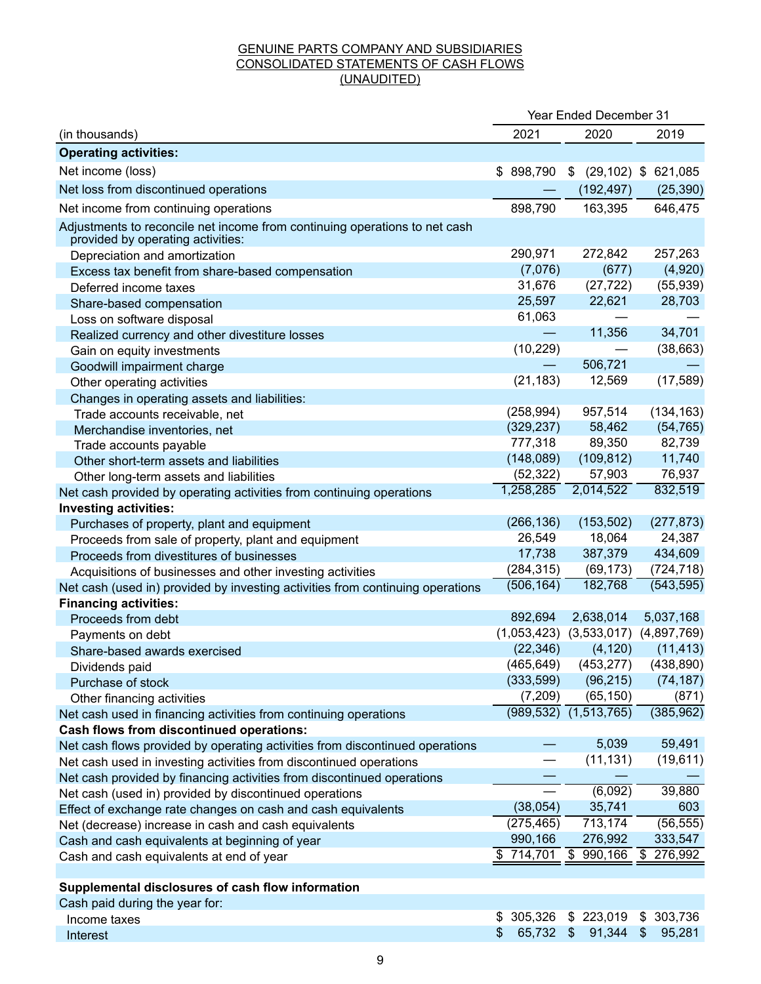## GENUINE PARTS COMPANY AND SUBSIDIARIES CONSOLIDATED STATEMENTS OF CASH FLOWS (UNAUDITED)

|                                                                                                                 | Year Ended December 31 |                                           |                        |  |  |
|-----------------------------------------------------------------------------------------------------------------|------------------------|-------------------------------------------|------------------------|--|--|
| (in thousands)                                                                                                  | 2021                   | 2019                                      |                        |  |  |
| <b>Operating activities:</b>                                                                                    |                        |                                           |                        |  |  |
| Net income (loss)                                                                                               | \$898,790              | \$                                        | $(29, 102)$ \$ 621,085 |  |  |
| Net loss from discontinued operations                                                                           |                        | (192, 497)                                | (25, 390)              |  |  |
| Net income from continuing operations                                                                           | 898,790                | 163,395                                   | 646,475                |  |  |
| Adjustments to reconcile net income from continuing operations to net cash<br>provided by operating activities: |                        |                                           |                        |  |  |
| Depreciation and amortization                                                                                   | 290,971                | 272,842                                   | 257,263                |  |  |
| Excess tax benefit from share-based compensation                                                                | (7,076)                | (677)                                     | (4,920)                |  |  |
| Deferred income taxes                                                                                           | 31,676                 | (27, 722)                                 | (55, 939)              |  |  |
| Share-based compensation                                                                                        | 25,597                 | 22,621                                    | 28,703                 |  |  |
| Loss on software disposal                                                                                       | 61,063                 |                                           |                        |  |  |
| Realized currency and other divestiture losses                                                                  |                        | 11,356                                    | 34,701                 |  |  |
| Gain on equity investments                                                                                      | (10, 229)              |                                           | (38, 663)              |  |  |
| Goodwill impairment charge                                                                                      |                        | 506,721                                   |                        |  |  |
| Other operating activities                                                                                      | (21, 183)              | 12,569                                    | (17, 589)              |  |  |
| Changes in operating assets and liabilities:                                                                    |                        |                                           |                        |  |  |
| Trade accounts receivable, net                                                                                  | (258, 994)             | 957,514                                   | (134, 163)             |  |  |
| Merchandise inventories, net                                                                                    | (329, 237)             | 58,462                                    | (54, 765)              |  |  |
| Trade accounts payable                                                                                          | 777,318                | 89,350                                    | 82,739                 |  |  |
| Other short-term assets and liabilities                                                                         | (148,089)              | (109, 812)                                | 11,740                 |  |  |
| Other long-term assets and liabilities                                                                          | (52, 322)              | 57,903                                    | 76,937                 |  |  |
| Net cash provided by operating activities from continuing operations                                            | 1,258,285              | 2,014,522                                 | 832,519                |  |  |
| <b>Investing activities:</b>                                                                                    |                        |                                           |                        |  |  |
| Purchases of property, plant and equipment                                                                      | (266, 136)             | (153, 502)                                | (277, 873)             |  |  |
| Proceeds from sale of property, plant and equipment                                                             | 26,549                 | 18,064                                    | 24,387                 |  |  |
| Proceeds from divestitures of businesses                                                                        | 17,738                 | 387,379                                   | 434,609                |  |  |
| Acquisitions of businesses and other investing activities                                                       | (284, 315)             | (69, 173)                                 | (724, 718)             |  |  |
| Net cash (used in) provided by investing activities from continuing operations                                  | (506, 164)             | 182,768                                   | (543, 595)             |  |  |
| <b>Financing activities:</b>                                                                                    |                        |                                           |                        |  |  |
| Proceeds from debt                                                                                              | 892,694                | 2,638,014                                 | 5,037,168              |  |  |
| Payments on debt                                                                                                |                        | $(1,053,423)$ $(3,533,017)$ $(4,897,769)$ |                        |  |  |
| Share-based awards exercised                                                                                    | (22, 346)              | (4, 120)                                  | (11, 413)              |  |  |
| Dividends paid                                                                                                  | (465, 649)             | (453, 277)                                | (438, 890)             |  |  |
| Purchase of stock                                                                                               | (333,599)              | (96, 215)                                 | (74, 187)              |  |  |
| Other financing activities                                                                                      | (7,209)                | (65, 150)                                 | (871)                  |  |  |
| Net cash used in financing activities from continuing operations                                                | (989, 532)             | (1,513,765)                               | (385, 962)             |  |  |
| <b>Cash flows from discontinued operations:</b>                                                                 |                        |                                           |                        |  |  |
| Net cash flows provided by operating activities from discontinued operations                                    |                        | 5,039                                     | 59,491                 |  |  |
| Net cash used in investing activities from discontinued operations                                              |                        | (11, 131)                                 | (19,611)               |  |  |
| Net cash provided by financing activities from discontinued operations                                          |                        |                                           |                        |  |  |
| Net cash (used in) provided by discontinued operations                                                          |                        | (6,092)                                   | 39,880                 |  |  |
| Effect of exchange rate changes on cash and cash equivalents                                                    | (38,054)               | 35,741                                    | 603                    |  |  |
| Net (decrease) increase in cash and cash equivalents                                                            | (275, 465)             | 713,174                                   | (56, 555)              |  |  |
| Cash and cash equivalents at beginning of year                                                                  | 990,166                | 276,992                                   | 333,547                |  |  |
| Cash and cash equivalents at end of year                                                                        | \$714,701              | \$<br>990,166                             | \$<br>276,992          |  |  |
|                                                                                                                 |                        |                                           |                        |  |  |
| Supplemental disclosures of cash flow information<br>Cash paid during the year for:                             |                        |                                           |                        |  |  |
| Income taxes                                                                                                    | \$305,326              | \$223,019                                 | 303,736<br>\$          |  |  |
| Interest                                                                                                        | 65,732<br>\$           | $\sqrt[6]{3}$<br>91,344                   | $\$\$<br>95,281        |  |  |
|                                                                                                                 |                        |                                           |                        |  |  |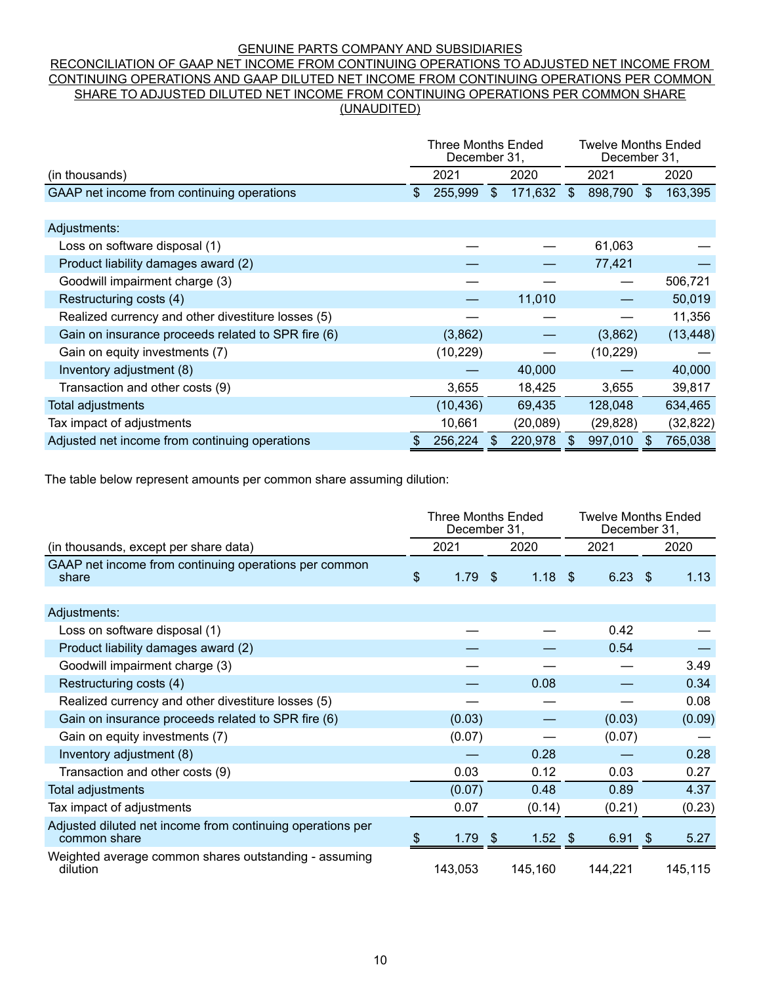#### GENUINE PARTS COMPANY AND SUBSIDIARIES

#### RECONCILIATION OF GAAP NET INCOME FROM CONTINUING OPERATIONS TO ADJUSTED NET INCOME FROM CONTINUING OPERATIONS AND GAAP DILUTED NET INCOME FROM CONTINUING OPERATIONS PER COMMON SHARE TO ADJUSTED DILUTED NET INCOME FROM CONTINUING OPERATIONS PER COMMON SHARE (UNAUDITED)

|                                                    | <b>Three Months Ended</b><br>December 31, |           |    | <b>Twelve Months Ended</b><br>December 31, |              |           |     |           |
|----------------------------------------------------|-------------------------------------------|-----------|----|--------------------------------------------|--------------|-----------|-----|-----------|
| (in thousands)                                     |                                           | 2021      |    | 2020                                       | 2021         |           |     | 2020      |
| GAAP net income from continuing operations         |                                           | 255,999   | \$ | 171,632                                    | $\mathbb{S}$ | 898,790   | \$. | 163,395   |
|                                                    |                                           |           |    |                                            |              |           |     |           |
| Adjustments:                                       |                                           |           |    |                                            |              |           |     |           |
| Loss on software disposal (1)                      |                                           |           |    |                                            |              | 61,063    |     |           |
| Product liability damages award (2)                |                                           |           |    |                                            |              | 77,421    |     |           |
| Goodwill impairment charge (3)                     |                                           |           |    |                                            |              |           |     | 506,721   |
| Restructuring costs (4)                            |                                           |           |    | 11,010                                     |              |           |     | 50,019    |
| Realized currency and other divestiture losses (5) |                                           |           |    |                                            |              |           |     | 11,356    |
| Gain on insurance proceeds related to SPR fire (6) |                                           | (3,862)   |    |                                            |              | (3,862)   |     | (13, 448) |
| Gain on equity investments (7)                     |                                           | (10, 229) |    |                                            |              | (10, 229) |     |           |
| Inventory adjustment (8)                           |                                           |           |    | 40,000                                     |              |           |     | 40,000    |
| Transaction and other costs (9)                    |                                           | 3,655     |    | 18,425                                     |              | 3,655     |     | 39,817    |
| Total adjustments                                  |                                           | (10, 436) |    | 69,435                                     |              | 128,048   |     | 634,465   |
| Tax impact of adjustments                          |                                           | 10,661    |    | (20, 089)                                  |              | (29, 828) |     | (32, 822) |
| Adjusted net income from continuing operations     |                                           | 256,224   |    | 220,978                                    | \$.          | 997,010   |     | 765,038   |

The table below represent amounts per common share assuming dilution:

|                                                                            | <b>Three Months Ended</b><br>December 31, |         |      |           |  |           | <b>Twelve Months Ended</b><br>December 31, |         |  |
|----------------------------------------------------------------------------|-------------------------------------------|---------|------|-----------|--|-----------|--------------------------------------------|---------|--|
| (in thousands, except per share data)                                      |                                           | 2021    | 2020 |           |  | 2021      |                                            | 2020    |  |
| GAAP net income from continuing operations per common<br>share             | $\mathfrak{S}$                            | 1.79    | - \$ | $1.18$ \$ |  | $6.23$ \$ |                                            | 1.13    |  |
|                                                                            |                                           |         |      |           |  |           |                                            |         |  |
| Adjustments:                                                               |                                           |         |      |           |  |           |                                            |         |  |
| Loss on software disposal (1)                                              |                                           |         |      |           |  | 0.42      |                                            |         |  |
| Product liability damages award (2)                                        |                                           |         |      |           |  | 0.54      |                                            |         |  |
| Goodwill impairment charge (3)                                             |                                           |         |      |           |  |           |                                            | 3.49    |  |
| Restructuring costs (4)                                                    |                                           |         |      | 0.08      |  |           |                                            | 0.34    |  |
| Realized currency and other divestiture losses (5)                         |                                           |         |      |           |  |           |                                            | 0.08    |  |
| Gain on insurance proceeds related to SPR fire (6)                         |                                           | (0.03)  |      |           |  | (0.03)    |                                            | (0.09)  |  |
| Gain on equity investments (7)                                             |                                           | (0.07)  |      |           |  | (0.07)    |                                            |         |  |
| Inventory adjustment (8)                                                   |                                           |         |      | 0.28      |  |           |                                            | 0.28    |  |
| Transaction and other costs (9)                                            |                                           | 0.03    |      | 0.12      |  | 0.03      |                                            | 0.27    |  |
| Total adjustments                                                          |                                           | (0.07)  |      | 0.48      |  | 0.89      |                                            | 4.37    |  |
| Tax impact of adjustments                                                  |                                           | 0.07    |      | (0.14)    |  | (0.21)    |                                            | (0.23)  |  |
| Adjusted diluted net income from continuing operations per<br>common share |                                           | 1.79    | - \$ | $1.52$ \$ |  | 6.91      | $\sqrt{2}$                                 | 5.27    |  |
| Weighted average common shares outstanding - assuming<br>dilution          |                                           | 143,053 |      | 145,160   |  | 144,221   |                                            | 145,115 |  |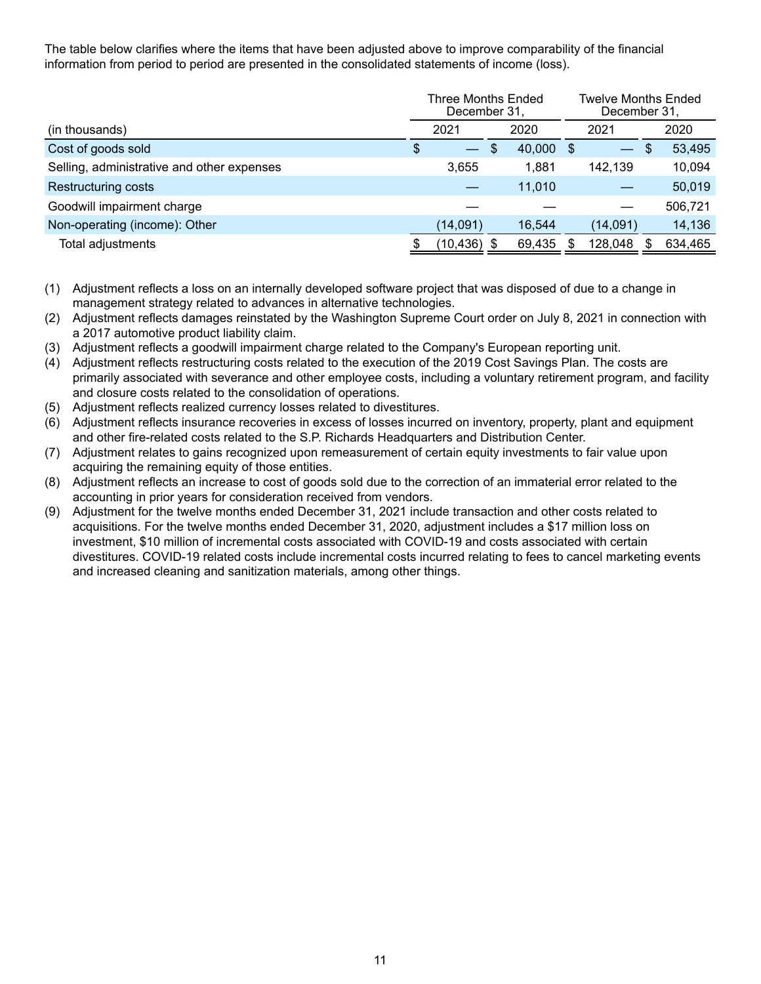The table below clarifies where the items that have been adjusted above to improve comparability of the financial information from period to period are presented in the consolidated statements of income (loss).

|                                            | Three Months Ended<br>December 31, |                          |      |        |      |                               | Twelve Months Ended<br>December 31, |         |      |  |
|--------------------------------------------|------------------------------------|--------------------------|------|--------|------|-------------------------------|-------------------------------------|---------|------|--|
| (in thousands)                             |                                    | 2021                     | 2020 |        |      |                               | 2021                                |         | 2020 |  |
| Cost of goods sold                         | S                                  | $\overline{\phantom{a}}$ | \$.  | 40,000 | - \$ | $\overbrace{\phantom{aaaaa}}$ | <sup>\$</sup>                       | 53,495  |      |  |
| Selling, administrative and other expenses |                                    | 3.655                    |      | 1,881  |      | 142,139                       |                                     | 10,094  |      |  |
| <b>Restructuring costs</b>                 |                                    |                          |      | 11.010 |      |                               |                                     | 50,019  |      |  |
| Goodwill impairment charge                 |                                    |                          |      |        |      |                               |                                     | 506,721 |      |  |
| Non-operating (income): Other              |                                    | (14,091)                 |      | 16.544 |      | (14,091)                      |                                     | 14,136  |      |  |
| Total adjustments                          |                                    | (10,436)                 |      | 69,435 |      | 128,048                       | S.                                  | 634,465 |      |  |

(1) Adjustment reflects a loss on an internally developed software project that was disposed of due to a change in management strategy related to advances in alternative technologies.

- (2) Adjustment reflects damages reinstated by the Washington Supreme Court order on July 8, 2021 in connection with a 2017 automotive product liability claim.
- (3) Adjustment reflects a goodwill impairment charge related to the Company's European reporting unit.
- (4) Adjustment reflects restructuring costs related to the execution of the 2019 Cost Savings Plan. The costs are primarily associated with severance and other employee costs, including a voluntary retirement program, and facility and closure costs related to the consolidation of operations.
- (5) Adjustment reflects realized currency losses related to divestitures.
- (6) Adjustment reflects insurance recoveries in excess of losses incurred on inventory, property, plant and equipment and other fire-related costs related to the S.P. Richards Headquarters and Distribution Center.
- (7) Adjustment relates to gains recognized upon remeasurement of certain equity investments to fair value upon acquiring the remaining equity of those entities.
- (8) Adjustment reflects an increase to cost of goods sold due to the correction of an immaterial error related to the accounting in prior years for consideration received from vendors.
- (9) Adjustment for the twelve months ended December 31, 2021 include transaction and other costs related to acquisitions. For the twelve months ended December 31, 2020, adjustment includes a \$17 million loss on investment, \$10 million of incremental costs associated with COVID-19 and costs associated with certain divestitures. COVID-19 related costs include incremental costs incurred relating to fees to cancel marketing events and increased cleaning and sanitization materials, among other things.